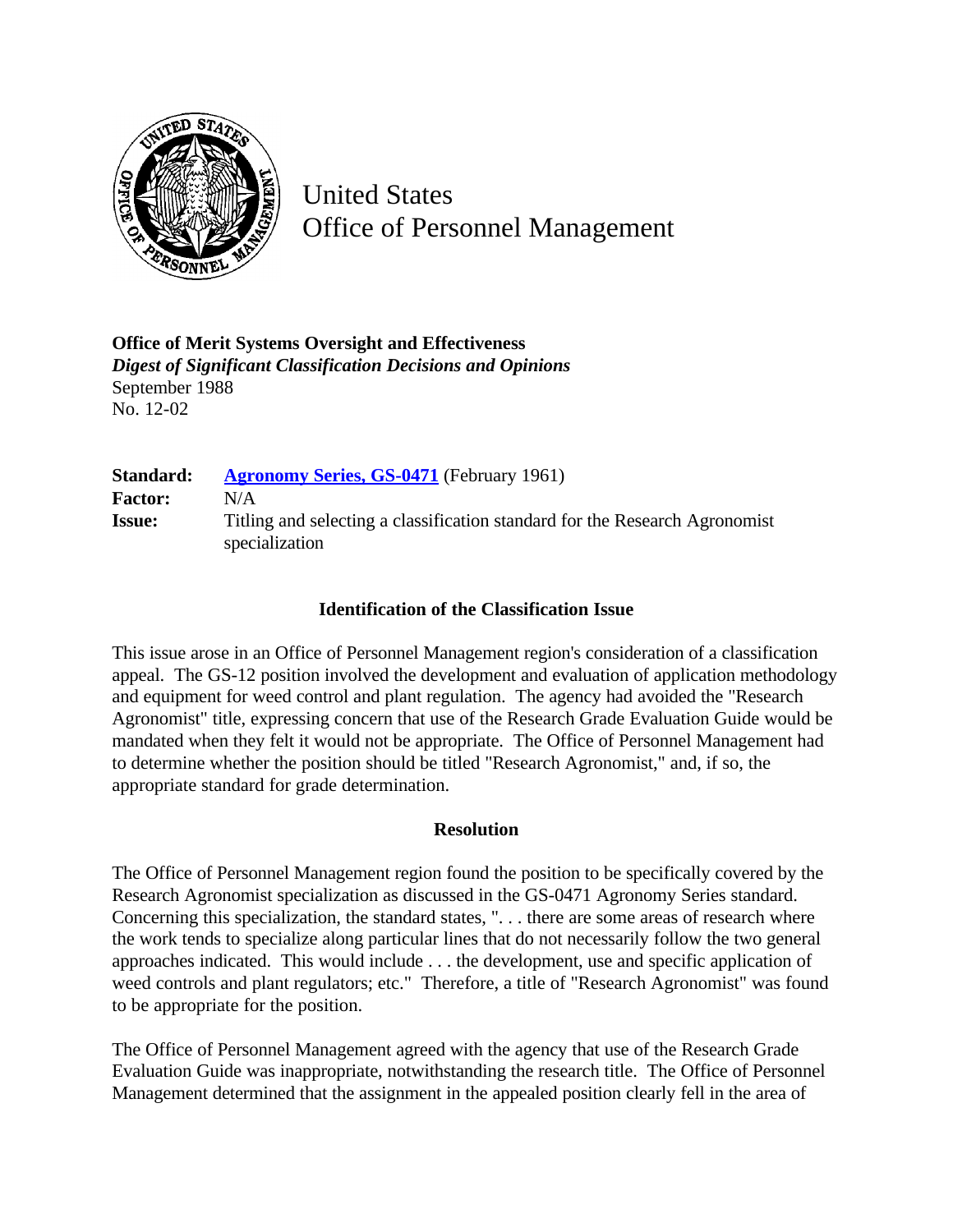

United States Office of Personnel Management

**Office of Merit Systems Oversight and Effectiveness** *Digest of Significant Classification Decisions and Opinions* September 1988 No. 12-02

| Standard:      | <b>Agronomy Series, GS-0471</b> (February 1961)                                               |
|----------------|-----------------------------------------------------------------------------------------------|
| <b>Factor:</b> | N/A                                                                                           |
| <b>Issue:</b>  | Titling and selecting a classification standard for the Research Agronomist<br>specialization |

## **Identification of the Classification Issue**

This issue arose in an Office of Personnel Management region's consideration of a classification appeal. The GS-12 position involved the development and evaluation of application methodology and equipment for weed control and plant regulation. The agency had avoided the "Research Agronomist" title, expressing concern that use of the Research Grade Evaluation Guide would be mandated when they felt it would not be appropriate. The Office of Personnel Management had to determine whether the position should be titled "Research Agronomist," and, if so, the appropriate standard for grade determination.

## **Resolution**

The Office of Personnel Management region found the position to be specifically covered by the Research Agronomist specialization as discussed in the GS-0471 Agronomy Series standard. Concerning this specialization, the standard states, ". . . there are some areas of research where the work tends to specialize along particular lines that do not necessarily follow the two general approaches indicated. This would include . . . the development, use and specific application of weed controls and plant regulators; etc." Therefore, a title of "Research Agronomist" was found to be appropriate for the position.

The Office of Personnel Management agreed with the agency that use of the Research Grade Evaluation Guide was inappropriate, notwithstanding the research title. The Office of Personnel Management determined that the assignment in the appealed position clearly fell in the area of